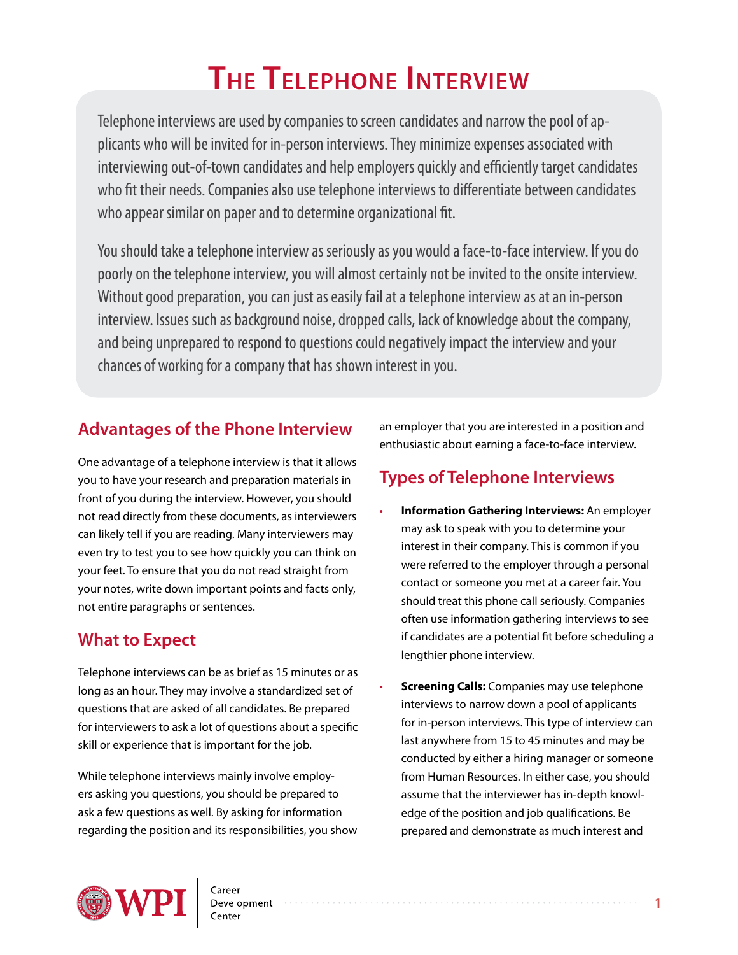# **The Telephone Interview**

Telephone interviews are used by companies to screen candidates and narrow the pool of applicants who will be invited for in-person interviews. They minimize expenses associated with interviewing out-of-town candidates and help employers quickly and efficiently target candidates who fit their needs. Companies also use telephone interviews to differentiate between candidates who appear similar on paper and to determine organizational fit.

You should take a telephone interview as seriously as you would a face-to-face interview. If you do poorly on the telephone interview, you will almost certainly not be invited to the onsite interview. Without good preparation, you can just as easily fail at a telephone interview as at an in-person interview. Issues such as background noise, dropped calls, lack of knowledge about the company, and being unprepared to respond to questions could negatively impact the interview and your chances of working for a company that has shown interest in you.

## **Advantages of the Phone Interview**

One advantage of a telephone interview is that it allows you to have your research and preparation materials in front of you during the interview. However, you should not read directly from these documents, as interviewers can likely tell if you are reading. Many interviewers may even try to test you to see how quickly you can think on your feet. To ensure that you do not read straight from your notes, write down important points and facts only, not entire paragraphs or sentences.

## **What to Expect**

Telephone interviews can be as brief as 15 minutes or as long as an hour. They may involve a standardized set of questions that are asked of all candidates. Be prepared for interviewers to ask a lot of questions about a specific skill or experience that is important for the job.

While telephone interviews mainly involve employers asking you questions, you should be prepared to ask a few questions as well. By asking for information regarding the position and its responsibilities, you show an employer that you are interested in a position and enthusiastic about earning a face-to-face interview.

# **Types of Telephone Interviews**

- **Information Gathering Interviews:** An employer may ask to speak with you to determine your interest in their company. This is common if you were referred to the employer through a personal contact or someone you met at a career fair. You should treat this phone call seriously. Companies often use information gathering interviews to see if candidates are a potential fit before scheduling a lengthier phone interview.
- **Screening Calls:** Companies may use telephone interviews to narrow down a pool of applicants for in-person interviews. This type of interview can last anywhere from 15 to 45 minutes and may be conducted by either a hiring manager or someone from Human Resources. In either case, you should assume that the interviewer has in-depth knowledge of the position and job qualifications. Be prepared and demonstrate as much interest and

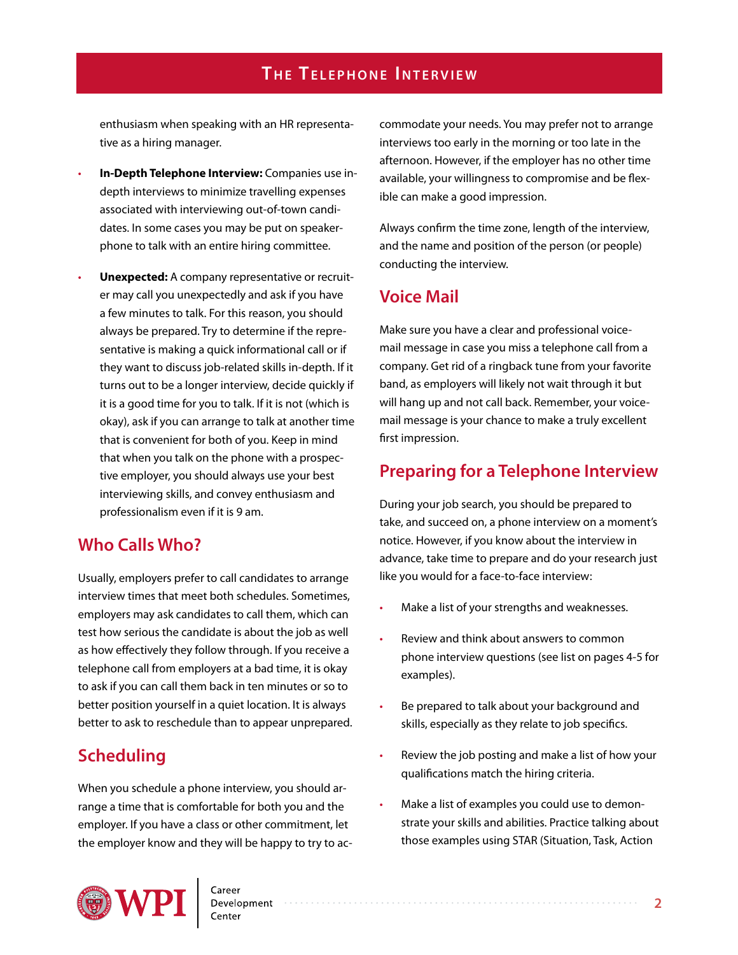enthusiasm when speaking with an HR representative as a hiring manager.

- **In-Depth Telephone Interview:** Companies use indepth interviews to minimize travelling expenses associated with interviewing out-of-town candidates. In some cases you may be put on speakerphone to talk with an entire hiring committee.
- **Unexpected:** A company representative or recruiter may call you unexpectedly and ask if you have a few minutes to talk. For this reason, you should always be prepared. Try to determine if the representative is making a quick informational call or if they want to discuss job-related skills in-depth. If it turns out to be a longer interview, decide quickly if it is a good time for you to talk. If it is not (which is okay), ask if you can arrange to talk at another time that is convenient for both of you. Keep in mind that when you talk on the phone with a prospective employer, you should always use your best interviewing skills, and convey enthusiasm and professionalism even if it is 9 am.

#### **Who Calls Who?**

Usually, employers prefer to call candidates to arrange interview times that meet both schedules. Sometimes, employers may ask candidates to call them, which can test how serious the candidate is about the job as well as how effectively they follow through. If you receive a telephone call from employers at a bad time, it is okay to ask if you can call them back in ten minutes or so to better position yourself in a quiet location. It is always better to ask to reschedule than to appear unprepared.

## **Scheduling**

When you schedule a phone interview, you should arrange a time that is comfortable for both you and the employer. If you have a class or other commitment, let the employer know and they will be happy to try to accommodate your needs. You may prefer not to arrange interviews too early in the morning or too late in the afternoon. However, if the employer has no other time available, your willingness to compromise and be flexible can make a good impression.

Always confirm the time zone, length of the interview, and the name and position of the person (or people) conducting the interview.

#### **Voice Mail**

Make sure you have a clear and professional voicemail message in case you miss a telephone call from a company. Get rid of a ringback tune from your favorite band, as employers will likely not wait through it but will hang up and not call back. Remember, your voicemail message is your chance to make a truly excellent first impression.

#### **Preparing for a Telephone Interview**

During your job search, you should be prepared to take, and succeed on, a phone interview on a moment's notice. However, if you know about the interview in advance, take time to prepare and do your research just like you would for a face-to-face interview:

- Make a list of your strengths and weaknesses.
- Review and think about answers to common phone interview questions (see list on pages 4-5 for examples).
- Be prepared to talk about your background and skills, especially as they relate to job specifics.
- Review the job posting and make a list of how your qualifications match the hiring criteria.
- Make a list of examples you could use to demonstrate your skills and abilities. Practice talking about those examples using STAR (Situation, Task, Action

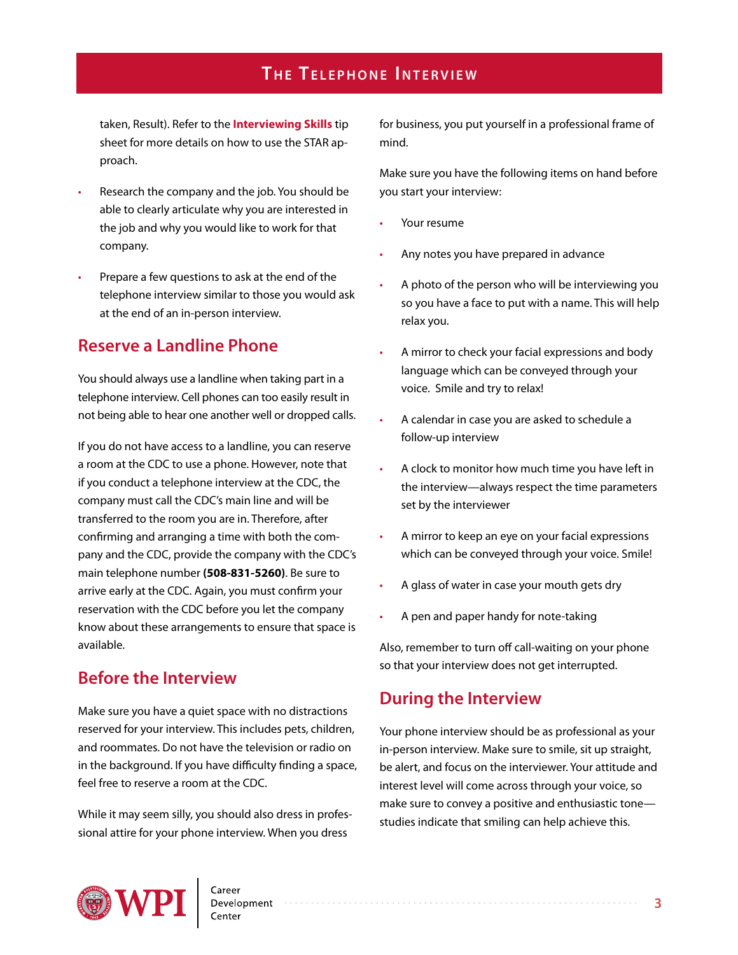taken, Result). Refer to the **[Interviewing Skills](http://www.wpi.edu/Images/CMS/CDC/Interviews.pdf)** tip sheet for more details on how to use the STAR approach.

- Research the company and the job. You should be able to clearly articulate why you are interested in the job and why you would like to work for that company.
- Prepare a few questions to ask at the end of the telephone interview similar to those you would ask at the end of an in-person interview.

#### **Reserve a Landline Phone**

You should always use a landline when taking part in a telephone interview. Cell phones can too easily result in not being able to hear one another well or dropped calls.

If you do not have access to a landline, you can reserve a room at the CDC to use a phone. However, note that if you conduct a telephone interview at the CDC, the company must call the CDC's main line and will be transferred to the room you are in. Therefore, after confirming and arranging a time with both the company and the CDC, provide the company with the CDC's main telephone number **(508-831-5260)**. Be sure to arrive early at the CDC. Again, you must confirm your reservation with the CDC before you let the company know about these arrangements to ensure that space is available.

#### **Before the Interview**

Make sure you have a quiet space with no distractions reserved for your interview. This includes pets, children, and roommates. Do not have the television or radio on in the background. If you have difficulty finding a space, feel free to reserve a room at the CDC.

While it may seem silly, you should also dress in professional attire for your phone interview. When you dress

for business, you put yourself in a professional frame of mind.

Make sure you have the following items on hand before you start your interview:

- Your resume
- Any notes you have prepared in advance
- A photo of the person who will be interviewing you so you have a face to put with a name. This will help relax you.
- A mirror to check your facial expressions and body language which can be conveyed through your voice. Smile and try to relax!
- A calendar in case you are asked to schedule a follow-up interview
- A clock to monitor how much time you have left in the interview—always respect the time parameters set by the interviewer
- A mirror to keep an eye on your facial expressions which can be conveyed through your voice. Smile!
- A glass of water in case your mouth gets dry
- A pen and paper handy for note-taking

Also, remember to turn off call-waiting on your phone so that your interview does not get interrupted.

#### **During the Interview**

Your phone interview should be as professional as your in-person interview. Make sure to smile, sit up straight, be alert, and focus on the interviewer. Your attitude and interest level will come across through your voice, so make sure to convey a positive and enthusiastic tone studies indicate that smiling can help achieve this.

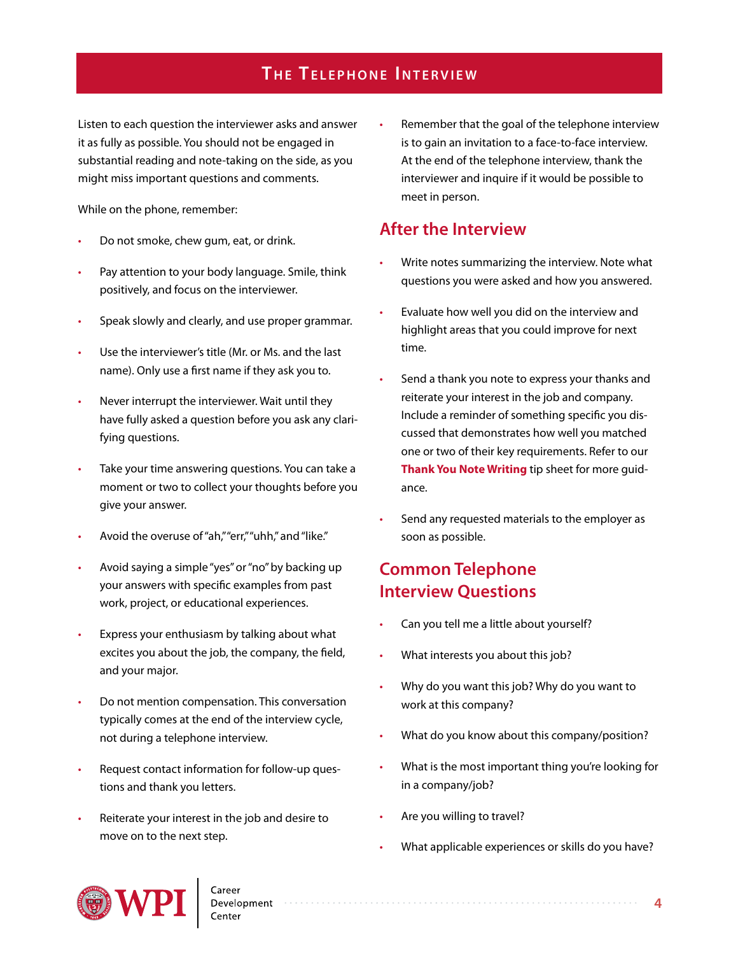Listen to each question the interviewer asks and answer it as fully as possible. You should not be engaged in substantial reading and note-taking on the side, as you might miss important questions and comments.

While on the phone, remember:

- Do not smoke, chew gum, eat, or drink.
- Pay attention to your body language. Smile, think positively, and focus on the interviewer.
- Speak slowly and clearly, and use proper grammar.
- Use the interviewer's title (Mr. or Ms. and the last name). Only use a first name if they ask you to.
- Never interrupt the interviewer. Wait until they have fully asked a question before you ask any clarifying questions.
- Take your time answering questions. You can take a moment or two to collect your thoughts before you give your answer.
- Avoid the overuse of "ah," "err," "uhh," and "like."
- Avoid saying a simple "yes" or "no" by backing up your answers with specific examples from past work, project, or educational experiences.
- Express your enthusiasm by talking about what excites you about the job, the company, the field, and your major.
- Do not mention compensation. This conversation typically comes at the end of the interview cycle, not during a telephone interview.
- Request contact information for follow-up questions and thank you letters.
- Reiterate your interest in the job and desire to move on to the next step.

Remember that the goal of the telephone interview is to gain an invitation to a face-to-face interview. At the end of the telephone interview, thank the interviewer and inquire if it would be possible to meet in person.

#### **After the Interview**

- Write notes summarizing the interview. Note what questions you were asked and how you answered.
- Evaluate how well you did on the interview and highlight areas that you could improve for next time.
- Send a thank you note to express your thanks and reiterate your interest in the job and company. Include a reminder of something specific you discussed that demonstrates how well you matched one or two of their key requirements. Refer to our **[Thank You Note Writing](http://www.wpi.edu/Images/CMS/CDC/Thank-you-note.pdf)** tip sheet for more guidance.
- Send any requested materials to the employer as soon as possible.

#### **Common Telephone Interview Questions**

- Can you tell me a little about yourself?
- What interests you about this job?
- Why do you want this job? Why do you want to work at this company?
- What do you know about this company/position?
- What is the most important thing you're looking for in a company/job?
- Are you willing to travel?
- What applicable experiences or skills do you have?